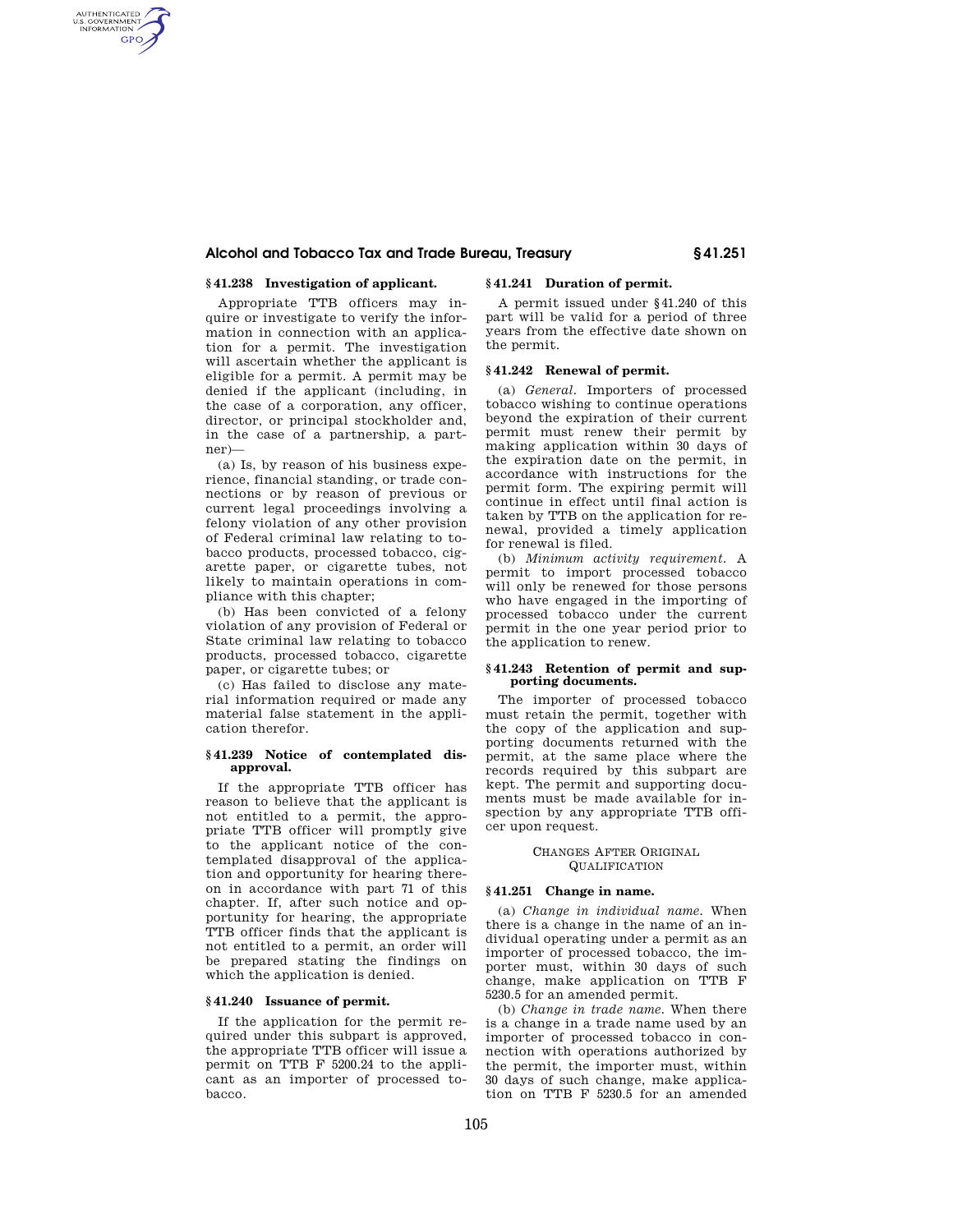# **Alcohol and Tobacco Tax and Trade Bureau, Treasury § 41.251**

# **§ 41.238 Investigation of applicant.**

AUTHENTICATED<br>U.S. GOVERNMENT<br>INFORMATION **GPO** 

> Appropriate TTB officers may inquire or investigate to verify the information in connection with an application for a permit. The investigation will ascertain whether the applicant is eligible for a permit. A permit may be denied if the applicant (including, in the case of a corporation, any officer, director, or principal stockholder and, in the case of a partnership, a partner)—

> (a) Is, by reason of his business experience, financial standing, or trade connections or by reason of previous or current legal proceedings involving a felony violation of any other provision of Federal criminal law relating to tobacco products, processed tobacco, cigarette paper, or cigarette tubes, not likely to maintain operations in compliance with this chapter;

> (b) Has been convicted of a felony violation of any provision of Federal or State criminal law relating to tobacco products, processed tobacco, cigarette paper, or cigarette tubes; or

> (c) Has failed to disclose any material information required or made any material false statement in the application therefor.

## **§ 41.239 Notice of contemplated disapproval.**

If the appropriate TTB officer has reason to believe that the applicant is not entitled to a permit, the appropriate TTB officer will promptly give to the applicant notice of the contemplated disapproval of the application and opportunity for hearing thereon in accordance with part 71 of this chapter. If, after such notice and opportunity for hearing, the appropriate TTB officer finds that the applicant is not entitled to a permit, an order will be prepared stating the findings on which the application is denied.

# **§ 41.240 Issuance of permit.**

If the application for the permit required under this subpart is approved, the appropriate TTB officer will issue a permit on TTB F 5200.24 to the applicant as an importer of processed tobacco.

# **§ 41.241 Duration of permit.**

A permit issued under §41.240 of this part will be valid for a period of three years from the effective date shown on the permit.

## **§ 41.242 Renewal of permit.**

(a) *General.* Importers of processed tobacco wishing to continue operations beyond the expiration of their current permit must renew their permit by making application within 30 days of the expiration date on the permit, in accordance with instructions for the permit form. The expiring permit will continue in effect until final action is taken by TTB on the application for renewal, provided a timely application for renewal is filed.

(b) *Minimum activity requirement.* A permit to import processed tobacco will only be renewed for those persons who have engaged in the importing of processed tobacco under the current permit in the one year period prior to the application to renew.

### **§ 41.243 Retention of permit and supporting documents.**

The importer of processed tobacco must retain the permit, together with the copy of the application and supporting documents returned with the permit, at the same place where the records required by this subpart are kept. The permit and supporting documents must be made available for inspection by any appropriate TTB officer upon request.

### CHANGES AFTER ORIGINAL **QUALIFICATION**

## **§ 41.251 Change in name.**

(a) *Change in individual name.* When there is a change in the name of an individual operating under a permit as an importer of processed tobacco, the importer must, within 30 days of such change, make application on TTB F 5230.5 for an amended permit.

(b) *Change in trade name.* When there is a change in a trade name used by an importer of processed tobacco in connection with operations authorized by the permit, the importer must, within 30 days of such change, make application on TTB F 5230.5 for an amended